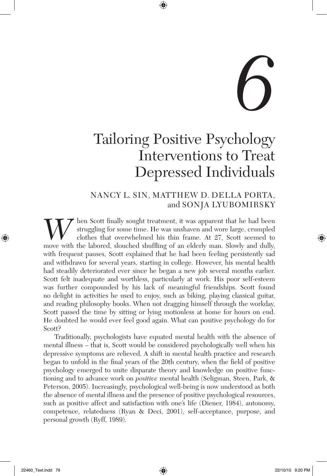# *6*

# Tailoring Positive Psychology Interventions to Treat Depressed Individuals

⊕

# NANCY L. SIN, MATTHEW D. DELLA PORTA, and SONJA LYUBOMIRSKY

**W** hen Scott finally sought treatment, it was apparent that he had been struggling for some time. He was unshaven and wore large, crumpled clothes that overwhelmed his thin frame. At 27, Scott seemed to move with the labo struggling for some time. He was unshaven and wore large, crumpled clothes that overwhelmed his thin frame. At 27, Scott seemed to move with the labored, slouched shuffling of an elderly man. Slowly and dully, with frequent pauses, Scott explained that he had been feeling persistently sad and withdrawn for several years, starting in college. However, his mental health had steadily deteriorated ever since he began a new job several months earlier. Scott felt inadequate and worthless, particularly at work. His poor self-esteem was further compounded by his lack of meaningful friendships. Scott found no delight in activities he used to enjoy, such as biking, playing classical guitar, and reading philosophy books. When not dragging himself through the workday, Scott passed the time by sitting or lying motionless at home for hours on end. He doubted he would ever feel good again. What can positive psychology do for Scott?

Traditionally, psychologists have equated mental health with the absence of mental illness – that is, Scott would be considered psychologically well when his depressive symptoms are relieved. A shift in mental health practice and research began to unfold in the final years of the 20th century, when the field of positive psychology emerged to unite disparate theory and knowledge on positive functioning and to advance work on *positive* mental health (Seligman, Steen, Park, & Peterson, 2005). Increasingly, psychological well-being is now understood as both the absence of mental illness and the presence of positive psychological resources, such as positive affect and satisfaction with one's life (Diener, 1984), autonomy, competence, relatedness (Ryan & Deci, 2001), self-acceptance, purpose, and personal growth (Ryff, 1989).

⊕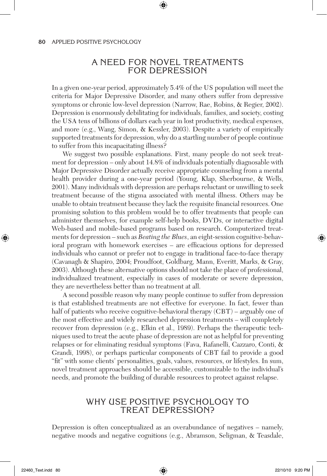# A NEED FOR NOVEL TREATMENTS FOR DEPRESSION

In a given one-year period, approximately 5.4% of the US population will meet the criteria for Major Depressive Disorder, and many others suffer from depressive symptoms or chronic low-level depression (Narrow, Rae, Robins, & Regier, 2002). Depression is enormously debilitating for individuals, families, and society, costing the USA tens of billions of dollars each year in lost productivity, medical expenses, and more (e.g., Wang, Simon, & Kessler, 2003). Despite a variety of empirically supported treatments for depression, why do a startling number of people continue to suffer from this incapacitating illness?

We suggest two possible explanations. First, many people do not seek treatment for depression – only about 14.8% of individuals potentially diagnosable with Major Depressive Disorder actually receive appropriate counseling from a mental health provider during a one-year period (Young, Klap, Sherbourne, & Wells, 2001). Many individuals with depression are perhaps reluctant or unwilling to seek treatment because of the stigma associated with mental illness. Others may be unable to obtain treatment because they lack the requisite financial resources. One promising solution to this problem would be to offer treatments that people can administer themselves, for example self-help books, DVDs, or interactive digital Web-based and mobile-based programs based on research. Computerized treatments for depression – such as *Beating the Blues*, an eight-session cognitive-behavioral program with homework exercises – are efficacious options for depressed individuals who cannot or prefer not to engage in traditional face-to-face therapy (Cavanagh & Shapiro, 2004; Proudfoot, Goldbarg, Mann, Everitt, Marks, & Gray, 2003). Although these alternative options should not take the place of professional, individualized treatment, especially in cases of moderate or severe depression, they are nevertheless better than no treatment at all.

A second possible reason why many people continue to suffer from depression is that established treatments are not effective for everyone. In fact, fewer than half of patients who receive cognitive-behavioral therapy  $(CBT)$  – arguably one of the most effective and widely researched depression treatments – will completely recover from depression (e.g., Elkin et al., 1989). Perhaps the therapeutic techniques used to treat the acute phase of depression are not as helpful for preventing relapses or for eliminating residual symptoms (Fava, Rafanelli, Cazzaro, Conti, & Grandi, 1998), or perhaps particular components of CBT fail to provide a good "fit" with some clients' personalities, goals, values, resources, or lifestyles. In sum, novel treatment approaches should be accessible, customizable to the individual's needs, and promote the building of durable resources to protect against relapse.

# WHY USE POSITIVE PSYCHOLOGY TO TREAT DEPRESSION?

Depression is often conceptualized as an overabundance of negatives – namely, negative moods and negative cognitions (e.g., Abramson, Seligman, & Teasdale,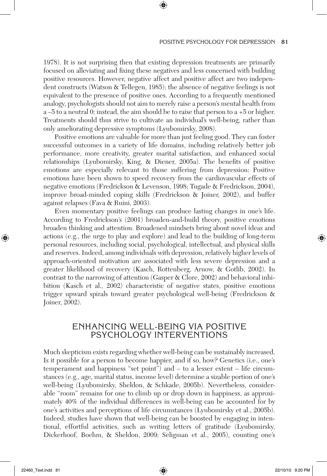#### Positive Psychology for Depression **81**

1978). It is not surprising then that existing depression treatments are primarily focused on alleviating and fixing these negatives and less concerned with building positive resources. However, negative affect and positive affect are two independent constructs (Watson & Tellegen, 1985); the absence of negative feelings is not equivalent to the presence of positive ones. According to a frequently mentioned analogy, psychologists should not aim to merely raise a person's mental health from a –5 to a neutral 0; instead, the aim should be to raise that person to a +5 or higher. Treatments should thus strive to cultivate an individual's well-being, rather than only ameliorating depressive symptoms (Lyubomirsky, 2008).

Positive emotions are valuable for more than just feeling good. They can foster successful outcomes in a variety of life domains, including relatively better job performance, more creativity, greater marital satisfaction, and enhanced social relationships (Lyubomirsky, King, & Diener, 2005a). The benefits of positive emotions are especially relevant to those suffering from depression: Positive emotions have been shown to speed recovery from the cardiovascular effects of negative emotions (Fredrickson & Levenson, 1998; Tugade & Fredrickson, 2004), improve broad-minded coping skills (Fredrickson & Joiner, 2002), and buffer against relapses (Fava & Ruini, 2003).

Even momentary positive feelings can produce lasting changes in one's life. According to Fredrickson's (2001) broaden-and-build theory, positive emotions broaden thinking and attention. Broadened mindsets bring about novel ideas and actions (e.g., the urge to play and explore) and lead to the building of long-term personal resources, including social, psychological, intellectual, and physical skills and reserves. Indeed, among individuals with depression, relatively higher levels of approach-oriented motivation are associated with less severe depression and a greater likelihood of recovery (Kasch, Rottenberg, Arnow, & Gotlib, 2002). In contrast to the narrowing of attention (Gasper & Clore, 2002) and behavioral inhibition (Kasch et al., 2002) characteristic of negative states, positive emotions trigger upward spirals toward greater psychological well-being (Fredrickson & Joiner, 2002).

# ENHANCING WELL-BEING VIA POSITIVE PSYCHOLOGY INTERVENTIONS

Much skepticism exists regarding whether well-being can be sustainably increased. Is it possible for a person to become happier, and if so, how? Genetics (i.e., one's temperament and happiness "set point") and – to a lesser extent – life circumstances (e.g., age, marital status, income level) determine a sizable portion of one's well-being (Lyubomirsky, Sheldon, & Schkade, 2005b). Nevertheless, considerable "room" remains for one to climb up or drop down in happiness, as approximately 40% of the individual differences in well-being can be accounted for by one's activities and perceptions of life circumstances (Lyubomirsky et al., 2005b). Indeed, studies have shown that well-being can be boosted by engaging in intentional, effortful activities, such as writing letters of gratitude (Lyubomirsky, Dickerhoof, Boehm, & Sheldon, 2009; Seligman et al., 2005), counting one's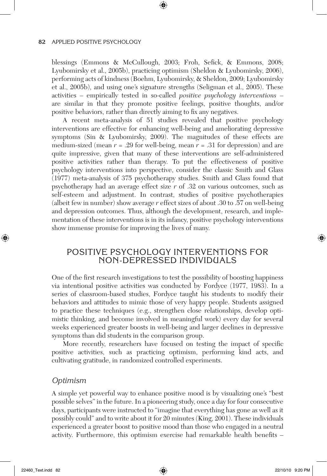blessings (Emmons & McCullough, 2003; Froh, Sefick, & Emmons, 2008; Lyubomirsky et al., 2005b), practicing optimism (Sheldon & Lyubomirsky, 2006), performing acts of kindness (Boehm, Lyubomirsky, & Sheldon, 2009; Lyubomirsky et al., 2005b), and using one's signature strengths (Seligman et al., 2005). These activities – empirically tested in so-called *positive psychology interventions* – are similar in that they promote positive feelings, positive thoughts, and/or positive behaviors, rather than directly aiming to fix any negatives.

A recent meta-analysis of 51 studies revealed that positive psychology interventions are effective for enhancing well-being and ameliorating depressive symptoms (Sin & Lyubomirsky, 2009). The magnitudes of these effects are medium-sized (mean *r* = .29 for well-being, mean *r* = .31 for depression) and are quite impressive, given that many of these interventions are self-administered positive activities rather than therapy. To put the effectiveness of positive psychology interventions into perspective, consider the classic Smith and Glass (1977) meta-analysis of 375 psychotherapy studies. Smith and Glass found that psychotherapy had an average effect size *r* of .32 on various outcomes, such as self-esteem and adjustment. In contrast, studies of positive psychotherapies (albeit few in number) show average *r* effect sizes of about .30 to .57 on well-being and depression outcomes. Thus, although the development, research, and implementation of these interventions is in its infancy, positive psychology interventions show immense promise for improving the lives of many.

# POSITIVE PSYCHOLOGY INTERVENTIONS FOR NON-DEPRESSED INDIVIDUALS

One of the first research investigations to test the possibility of boosting happiness via intentional positive activities was conducted by Fordyce (1977, 1983). In a series of classroom-based studies, Fordyce taught his students to modify their behaviors and attitudes to mimic those of very happy people. Students assigned to practice these techniques (e.g., strengthen close relationships, develop optimistic thinking, and become involved in meaningful work) every day for several weeks experienced greater boosts in well-being and larger declines in depressive symptoms than did students in the comparison group.

More recently, researchers have focused on testing the impact of specific positive activities, such as practicing optimism, performing kind acts, and cultivating gratitude, in randomized controlled experiments.

#### *Optimism*

A simple yet powerful way to enhance positive mood is by visualizing one's "best possible selves" in the future. In a pioneering study, once a day for four consecutive days, participants were instructed to "imagine that everything has gone as well as it possibly could" and to write about it for 20 minutes (King, 2001). These individuals experienced a greater boost to positive mood than those who engaged in a neutral activity. Furthermore, this optimism exercise had remarkable health benefits –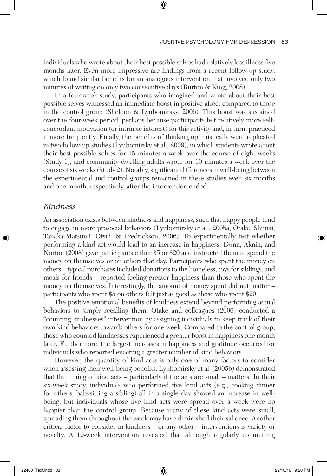individuals who wrote about their best possible selves had relatively less illness five months later. Even more impressive are findings from a recent follow-up study, which found similar benefits for an analogous intervention that involved only two minutes of writing on only two consecutive days (Burton & King, 2008).

⊕

In a four-week study, participants who imagined and wrote about their best possible selves witnessed an immediate boost in positive affect compared to those in the control group (Sheldon & Lyubomirsky, 2006). This boost was sustained over the four-week period, perhaps because participants felt relatively more selfconcordant motivation (or intrinsic interest) for this activity and, in turn, practiced it more frequently. Finally, the benefits of thinking optimistically were replicated in two follow-up studies (Lyubomirsky et al., 2009), in which students wrote about their best possible selves for 15 minutes a week over the course of eight weeks (Study 1), and community-dwelling adults wrote for 10 minutes a week over the course of six weeks (Study 2). Notably, significant differences in well-being between the experimental and control groups remained in these studies even six months and one month, respectively, after the intervention ended.

#### *Kindness*

↔

An association exists between kindness and happiness, such that happy people tend to engage in more prosocial behaviors (Lyubomirsky et al., 2005a; Otake, Shimai, Tanaka-Matsumi, Otsui, & Fredrickson, 2006). To experimentally test whether performing a kind act would lead to an increase in happiness, Dunn, Aknin, and Norton (2008) gave participants either \$5 or \$20 and instructed them to spend the money on themselves or on others that day. Participants who spent the money on others – typical purchases included donations to the homeless, toys for siblings, and meals for friends – reported feeling greater happiness than those who spent the money on themselves. Interestingly, the amount of money spent did not matter – participants who spent \$5 on others felt just as good as those who spent \$20.

The positive emotional benefits of kindness extend beyond performing actual behaviors to simply recalling them. Otake and colleagues (2006) conducted a "counting kindnesses" intervention by assigning individuals to keep track of their own kind behaviors towards others for one week. Compared to the control group, those who counted kindnesses experienced a greater boost in happiness one month later. Furthermore, the largest increases in happiness and gratitude occurred for individuals who reported enacting a greater number of kind behaviors.

However, the quantity of kind acts is only one of many factors to consider when assessing their well-being benefits. Lyubomirsky et al. (2005b) demonstrated that the timing of kind acts – particularly if the acts are small – matters. In their six-week study, individuals who performed five kind acts (e.g., cooking dinner for others, babysitting a sibling) all in a single day showed an increase in wellbeing, but individuals whose five kind acts were spread over a week were no happier than the control group. Because many of these kind acts were small, spreading them throughout the week may have diminished their salience. Another critical factor to consider in kindness – or any other – interventions is variety or novelty. A 10-week intervention revealed that although regularly committing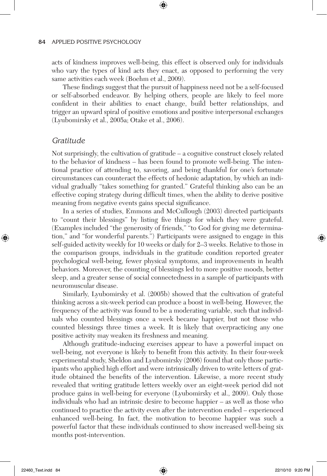acts of kindness improves well-being, this effect is observed only for individuals who vary the types of kind acts they enact, as opposed to performing the very same activities each week (Boehm et al., 2009).

These findings suggest that the pursuit of happiness need not be a self-focused or self-absorbed endeavor. By helping others, people are likely to feel more confident in their abilities to enact change, build better relationships, and trigger an upward spiral of positive emotions and positive interpersonal exchanges (Lyubomirsky et al., 2005a; Otake et al., 2006).

#### *Gratitude*

Not surprisingly, the cultivation of gratitude – a cognitive construct closely related to the behavior of kindness – has been found to promote well-being. The intentional practice of attending to, savoring, and being thankful for one's fortunate circumstances can counteract the effects of hedonic adaptation, by which an individual gradually "takes something for granted." Grateful thinking also can be an effective coping strategy during difficult times, when the ability to derive positive meaning from negative events gains special significance.

In a series of studies, Emmons and McCullough (2003) directed participants to "count their blessings" by listing five things for which they were grateful. (Examples included "the generosity of friends," "to God for giving me determination," and "for wonderful parents.") Participants were assigned to engage in this self-guided activity weekly for 10 weeks or daily for 2–3 weeks. Relative to those in the comparison groups, individuals in the gratitude condition reported greater psychological well-being, fewer physical symptoms, and improvements in health behaviors. Moreover, the counting of blessings led to more positive moods, better sleep, and a greater sense of social connectedness in a sample of participants with neuromuscular disease.

Similarly, Lyubomirsky et al. (2005b) showed that the cultivation of grateful thinking across a six-week period can produce a boost in well-being. However, the frequency of the activity was found to be a moderating variable, such that individuals who counted blessings once a week became happier, but not those who counted blessings three times a week. It is likely that overpracticing any one positive activity may weaken its freshness and meaning.

Although gratitude-inducing exercises appear to have a powerful impact on well-being, not everyone is likely to benefit from this activity. In their four-week experimental study, Sheldon and Lyubomirsky (2006) found that only those participants who applied high effort and were intrinsically driven to write letters of gratitude obtained the benefits of the intervention. Likewise, a more recent study revealed that writing gratitude letters weekly over an eight-week period did not produce gains in well-being for everyone (Lyubomirsky et al., 2009). Only those individuals who had an intrinsic desire to become happier – as well as those who continued to practice the activity even after the intervention ended – experienced enhanced well-being. In fact, the motivation to become happier was such a powerful factor that these individuals continued to show increased well-being six months post-intervention.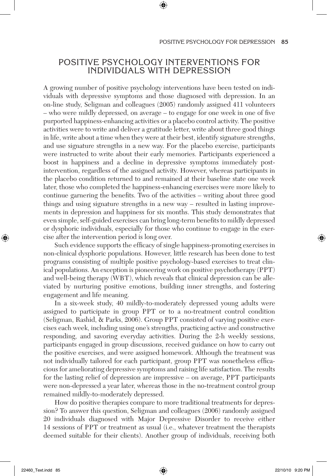# POSITIVE PSYCHOLOGY INTERVENTIONS FOR INDIVIDUALS WITH DEPRESSION

A growing number of positive psychology interventions have been tested on individuals with depressive symptoms and those diagnosed with depression. In an on-line study, Seligman and colleagues (2005) randomly assigned 411 volunteers – who were mildly depressed, on average – to engage for one week in one of five purported happiness-enhancing activities or a placebo control activity. The positive activities were to write and deliver a gratitude letter, write about three good things in life, write about a time when they were at their best, identify signature strengths, and use signature strengths in a new way. For the placebo exercise, participants were instructed to write about their early memories. Participants experienced a boost in happiness and a decline in depressive symptoms immediately postintervention, regardless of the assigned activity. However, whereas participants in the placebo condition returned to and remained at their baseline state one week later, those who completed the happiness-enhancing exercises were more likely to continue garnering the benefits. Two of the activities – writing about three good things and using signature strengths in a new way – resulted in lasting improvements in depression and happiness for six months. This study demonstrates that even simple, self-guided exercises can bring long-term benefits to mildly depressed or dysphoric individuals, especially for those who continue to engage in the exercise after the intervention period is long over.

Such evidence supports the efficacy of single happiness-promoting exercises in non-clinical dysphoric populations. However, little research has been done to test programs consisting of multiple positive psychology-based exercises to treat clinical populations. An exception is pioneering work on positive psychotherapy (PPT) and well-being therapy (WBT), which reveals that clinical depression can be alleviated by nurturing positive emotions, building inner strengths, and fostering engagement and life meaning.

In a six-week study, 40 mildly-to-moderately depressed young adults were assigned to participate in group PPT or to a no-treatment control condition (Seligman, Rashid, & Parks, 2006). Group PPT consisted of varying positive exercises each week, including using one's strengths, practicing active and constructive responding, and savoring everyday activities. During the 2-h weekly sessions, participants engaged in group discussions, received guidance on how to carry out the positive exercises, and were assigned homework. Although the treatment was not individually tailored for each participant, group PPT was nonetheless efficacious for ameliorating depressive symptoms and raising life satisfaction. The results for the lasting relief of depression are impressive – on average, PPT participants were non-depressed a year later, whereas those in the no-treatment control group remained mildly-to-moderately depressed.

How do positive therapies compare to more traditional treatments for depression? To answer this question, Seligman and colleagues (2006) randomly assigned 20 individuals diagnosed with Major Depressive Disorder to receive either 14 sessions of PPT or treatment as usual (i.e., whatever treatment the therapists deemed suitable for their clients). Another group of individuals, receiving both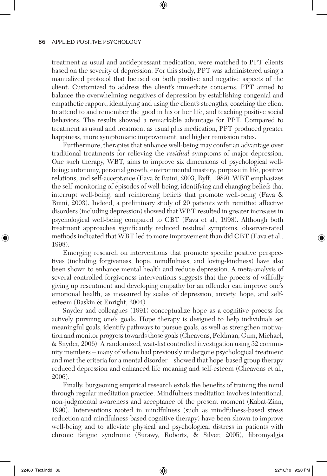treatment as usual and antidepressant medication, were matched to PPT clients based on the severity of depression. For this study, PPT was administered using a manualized protocol that focused on both positive and negative aspects of the client. Customized to address the client's immediate concerns, PPT aimed to balance the overwhelming negatives of depression by establishing congenial and empathetic rapport, identifying and using the client's strengths, coaching the client to attend to and remember the good in his or her life, and teaching positive social behaviors. The results showed a remarkable advantage for PPT: Compared to treatment as usual and treatment as usual plus medication, PPT produced greater happiness, more symptomatic improvement, and higher remission rates.

Furthermore, therapies that enhance well-being may confer an advantage over traditional treatments for relieving the *residual* symptoms of major depression. One such therapy, WBT, aims to improve six dimensions of psychological wellbeing: autonomy, personal growth, environmental mastery, purpose in life, positive relations, and self-acceptance (Fava & Ruini, 2003; Ryff, 1989). WBT emphasizes the self-monitoring of episodes of well-being, identifying and changing beliefs that interrupt well-being, and reinforcing beliefs that promote well-being (Fava & Ruini, 2003). Indeed, a preliminary study of 20 patients with remitted affective disorders (including depression) showed that WBT resulted in greater increases in psychological well-being compared to CBT (Fava et al., 1998). Although both treatment approaches significantly reduced residual symptoms, observer-rated methods indicated that WBT led to more improvement than did CBT (Fava et al., 1998).

Emerging research on interventions that promote specific positive perspectives (including forgiveness, hope, mindfulness, and loving-kindness) have also been shown to enhance mental health and reduce depression. A meta-analysis of several controlled forgiveness interventions suggests that the process of willfully giving up resentment and developing empathy for an offender can improve one's emotional health, as measured by scales of depression, anxiety, hope, and selfesteem (Baskin & Enright, 2004).

Snyder and colleagues (1991) conceptualize hope as a cognitive process for actively pursuing one's goals. Hope therapy is designed to help individuals set meaningful goals, identify pathways to pursue goals, as well as strengthen motivation and monitor progress towards those goals (Cheavens, Feldman, Gum, Michael, & Snyder, 2006). A randomized, wait-list controlled investigation using 32 community members – many of whom had previously undergone psychological treatment and met the criteria for a mental disorder – showed that hope-based group therapy reduced depression and enhanced life meaning and self-esteem (Cheavens et al., 2006).

Finally, burgeoning empirical research extols the benefits of training the mind through regular meditation practice. Mindfulness meditation involves intentional, non-judgmental awareness and acceptance of the present moment (Kabat-Zinn, 1990). Interventions rooted in mindfulness (such as mindfulness-based stress reduction and mindfulness-based cognitive therapy) have been shown to improve well-being and to alleviate physical and psychological distress in patients with chronic fatigue syndrome (Surawy, Roberts, & Silver, 2005), fibromyalgia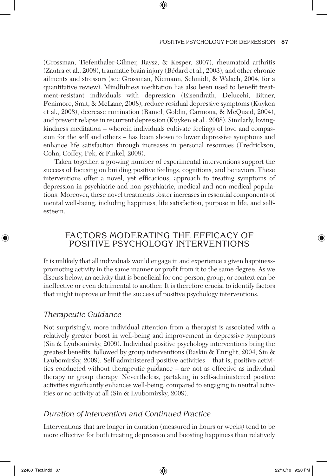#### Positive Psychology for Depression **87**

(Grossman, Tiefenthaler-Gilmer, Raysz, & Kesper, 2007), rheumatoid arthritis (Zautra et al., 2008), traumatic brain injury (Bédard et al., 2003), and other chronic ailments and stressors (see Grossman, Niemann, Schmidt, & Walach, 2004, for a quantitative review). Mindfulness meditation has also been used to benefit treatment-resistant individuals with depression (Eisendrath, Delucchi, Bitner, Fenimore, Smit, & McLane, 2008), reduce residual depressive symptoms (Kuyken et al., 2008), decrease rumination (Ramel, Goldin, Carmona, & McQuaid, 2004), and prevent relapse in recurrent depression (Kuyken et al., 2008). Similarly, lovingkindness meditation – wherein individuals cultivate feelings of love and compassion for the self and others – has been shown to lower depressive symptoms and enhance life satisfaction through increases in personal resources (Fredrickson, Cohn, Coffey, Pek, & Finkel, 2008).

⊕

Taken together, a growing number of experimental interventions support the success of focusing on building positive feelings, cognitions, and behaviors. These interventions offer a novel, yet efficacious, approach to treating symptoms of depression in psychiatric and non-psychiatric, medical and non-medical populations. Moreover, these novel treatments foster increases in essential components of mental well-being, including happiness, life satisfaction, purpose in life, and selfesteem.

# FACTORS MODERATING THE EFFICACY OF POSITIVE PSYCHOLOGY INTERVENTIONS

It is unlikely that all individuals would engage in and experience a given happinesspromoting activity in the same manner or profit from it to the same degree. As we discuss below, an activity that is beneficial for one person, group, or context can be ineffective or even detrimental to another. It is therefore crucial to identify factors that might improve or limit the success of positive psychology interventions.

#### *Therapeutic Guidance*

Not surprisingly, more individual attention from a therapist is associated with a relatively greater boost in well-being and improvement in depressive symptoms (Sin & Lyubomirsky, 2009). Individual positive psychology interventions bring the greatest benefits, followed by group interventions (Baskin & Enright, 2004; Sin & Lyubomirsky, 2009). Self-administered positive activities – that is, positive activities conducted without therapeutic guidance – are not as effective as individual therapy or group therapy. Nevertheless, partaking in self-administered positive activities significantly enhances well-being, compared to engaging in neutral activities or no activity at all (Sin & Lyubomirsky, 2009).

# *Duration of Intervention and Continued Practice*

Interventions that are longer in duration (measured in hours or weeks) tend to be more effective for both treating depression and boosting happiness than relatively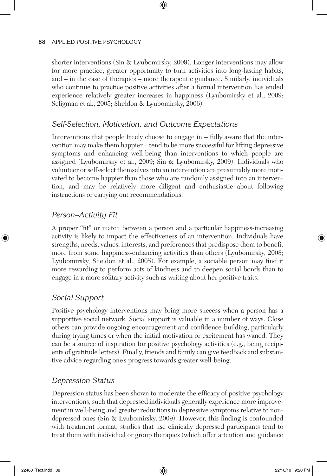shorter interventions (Sin & Lyubomirsky, 2009). Longer interventions may allow for more practice, greater opportunity to turn activities into long-lasting habits, and – in the case of therapies – more therapeutic guidance. Similarly, individuals who continue to practice positive activities after a formal intervention has ended experience relatively greater increases in happiness (Lyubomirsky et al., 2009; Seligman et al., 2005; Sheldon & Lyubomirsky, 2006).

## *Self-Selection, Motivation, and Outcome Expectations*

Interventions that people freely choose to engage in – fully aware that the intervention may make them happier – tend to be more successful for lifting depressive symptoms and enhancing well-being than interventions to which people are assigned (Lyubomirsky et al., 2009; Sin & Lyubomirsky, 2009). Individuals who volunteer or self-select themselves into an intervention are presumably more motivated to become happier than those who are randomly assigned into an intervention, and may be relatively more diligent and enthusiastic about following instructions or carrying out recommendations.

#### *Person–Activity Fit*

A proper "fit" or match between a person and a particular happiness-increasing activity is likely to impact the effectiveness of an intervention. Individuals have strengths, needs, values, interests, and preferences that predispose them to benefit more from some happiness-enhancing activities than others (Lyubomirsky, 2008; Lyubomirsky, Sheldon et al., 2005). For example, a sociable person may find it more rewarding to perform acts of kindness and to deepen social bonds than to engage in a more solitary activity such as writing about her positive traits.

#### *Social Support*

Positive psychology interventions may bring more success when a person has a supportive social network. Social support is valuable in a number of ways. Close others can provide ongoing encouragement and confidence-building, particularly during trying times or when the initial motivation or excitement has waned. They can be a source of inspiration for positive psychology activities (e.g., being recipients of gratitude letters). Finally, friends and family can give feedback and substantive advice regarding one's progress towards greater well-being.

#### *Depression Status*

Depression status has been shown to moderate the efficacy of positive psychology interventions, such that depressed individuals generally experience more improvement in well-being and greater reductions in depressive symptoms relative to nondepressed ones (Sin & Lyubomirsky, 2009). However, this finding is confounded with treatment format; studies that use clinically depressed participants tend to treat them with individual or group therapies (which offer attention and guidance

⊕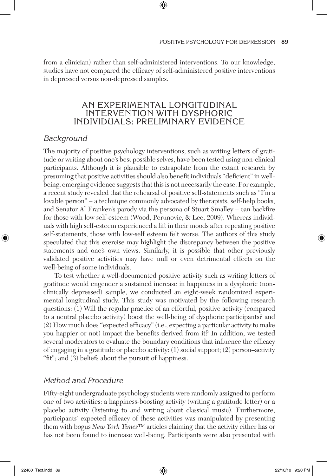from a clinician) rather than self-administered interventions. To our knowledge, studies have not compared the efficacy of self-administered positive interventions in depressed versus non-depressed samples.

⊕

# AN EXPERIMENTAL LONGITUDINAL INTERVENTION WITH DYSPHORIC INDIVIDUALS: PRELIMINARY EVIDENCE

#### *Background*

↔

The majority of positive psychology interventions, such as writing letters of gratitude or writing about one's best possible selves, have been tested using non-clinical participants. Although it is plausible to extrapolate from the extant research by presuming that positive activities should also benefit individuals "deficient" in wellbeing, emerging evidence suggests that this is not necessarily the case. For example, a recent study revealed that the rehearsal of positive self-statements such as "I'm a lovable person" – a technique commonly advocated by therapists, self-help books, and Senator Al Franken's parody via the persona of Stuart Smalley – can backfire for those with low self-esteem (Wood, Perunovic, & Lee, 2009). Whereas individuals with high self-esteem experienced a lift in their moods after repeating positive self-statements, those with low-self esteem felt worse. The authors of this study speculated that this exercise may highlight the discrepancy between the positive statements and one's own views. Similarly, it is possible that other previously validated positive activities may have null or even detrimental effects on the well-being of some individuals.

To test whether a well-documented positive activity such as writing letters of gratitude would engender a sustained increase in happiness in a dysphoric (nonclinically depressed) sample, we conducted an eight-week randomized experimental longitudinal study. This study was motivated by the following research questions: (1) Will the regular practice of an effortful, positive activity (compared to a neutral placebo activity) boost the well-being of dysphoric participants? and (2) How much does "expected efficacy" (i.e., expecting a particular activity to make you happier or not) impact the benefits derived from it? In addition, we tested several moderators to evaluate the boundary conditions that influence the efficacy of engaging in a gratitude or placebo activity: (1) social support; (2) person–activity "fit"; and (3) beliefs about the pursuit of happiness.

#### *Method and Procedure*

Fifty-eight undergraduate psychology students were randomly assigned to perform one of two activities: a happiness-boosting activity (writing a gratitude letter) or a placebo activity (listening to and writing about classical music). Furthermore, participants' expected efficacy of these activities was manipulated by presenting them with bogus *New York Times*™ articles claiming that the activity either has or has not been found to increase well-being. Participants were also presented with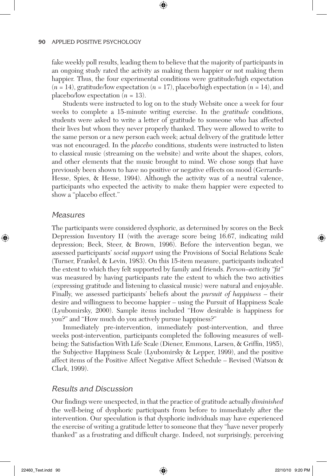fake weekly poll results, leading them to believe that the majority of participants in an ongoing study rated the activity as making them happier or not making them happier. Thus, the four experimental conditions were gratitude/high expectation (*n* = 14), gratitude/low expectation (*n* = 17), placebo/high expectation (*n* = 14), and placebo/low expectation (*n* = 13).

Students were instructed to log on to the study Website once a week for four weeks to complete a 15-minute writing exercise. In the *gratitude* conditions, students were asked to write a letter of gratitude to someone who has affected their lives but whom they never properly thanked. They were allowed to write to the same person or a new person each week; actual delivery of the gratitude letter was not encouraged. In the *placebo* conditions, students were instructed to listen to classical music (streaming on the website) and write about the shapes, colors, and other elements that the music brought to mind. We chose songs that have previously been shown to have no positive or negative effects on mood (Gerrards-Hesse, Spies, & Hesse, 1994). Although the activity was of a neutral valence, participants who expected the activity to make them happier were expected to show a "placebo effect."

#### *Measures*

↔

The participants were considered dysphoric, as determined by scores on the Beck Depression Inventory II (with the average score being 16.67, indicating mild depression; Beck, Steer, & Brown, 1996). Before the intervention began, we assessed participants' *social support* using the Provisions of Social Relations Scale (Turner, Frankel, & Levin, 1983). On this 15-item measure, participants indicated the extent to which they felt supported by family and friends. *Person–activity "fit"* was measured by having participants rate the extent to which the two activities (expressing gratitude and listening to classical music) were natural and enjoyable. Finally, we assessed participants' beliefs about the *pursuit of happiness* – their desire and willingness to become happier – using the Pursuit of Happiness Scale (Lyubomirsky, 2000). Sample items included "How desirable is happiness for you?" and "How much do you actively pursue happiness?"

Immediately pre-intervention, immediately post-intervention, and three weeks post-intervention, participants completed the following measures of wellbeing: the Satisfaction With Life Scale (Diener, Emmons, Larsen, & Griffin, 1985), the Subjective Happiness Scale (Lyubomirsky & Lepper, 1999), and the positive affect items of the Positive Affect Negative Affect Schedule – Revised (Watson & Clark, 1999).

#### *Results and Discussion*

Our findings were unexpected, in that the practice of gratitude actually *diminished* the well-being of dysphoric participants from before to immediately after the intervention. Our speculation is that dysphoric individuals may have experienced the exercise of writing a gratitude letter to someone that they "have never properly thanked" as a frustrating and difficult charge. Indeed, not surprisingly, perceiving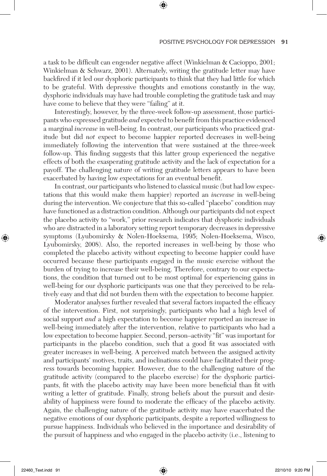a task to be difficult can engender negative affect (Winkielman & Cacioppo, 2001; Winkielman & Schwarz, 2001). Alternately, writing the gratitude letter may have backfired if it led our dysphoric participants to think that they had little for which to be grateful. With depressive thoughts and emotions constantly in the way, dysphoric individuals may have had trouble completing the gratitude task and may have come to believe that they were "failing" at it.

Interestingly, however, by the three-week follow-up assessment, those participants who expressed gratitude *and* expected to benefit from this practice evidenced a marginal *increase* in well-being. In contrast, our participants who practiced gratitude but did *not* expect to become happier reported decreases in well-being immediately following the intervention that were sustained at the three-week follow-up. This finding suggests that this latter group experienced the negative effects of both the exasperating gratitude activity and the lack of expectation for a payoff. The challenging nature of writing gratitude letters appears to have been exacerbated by having low expectations for an eventual benefit.

In contrast, our participants who listened to classical music (but had low expectations that this would make them happier) reported an *increase* in well-being during the intervention. We conjecture that this so-called "placebo" condition may have functioned as a distraction condition. Although our participants did not expect the placebo activity to "work," prior research indicates that dysphoric individuals who are distracted in a laboratory setting report temporary decreases in depressive symptoms (Lyubomirsky & Nolen-Hoeksema, 1995; Nolen-Hoeksema, Wisco, Lyubomirsky, 2008). Also, the reported increases in well-being by those who completed the placebo activity without expecting to become happier could have occurred because these participants engaged in the music exercise without the burden of trying to increase their well-being. Therefore, contrary to our expectations, the condition that turned out to be most optimal for experiencing gains in well-being for our dysphoric participants was one that they perceived to be relatively easy and that did not burden them with the expectation to become happier.

Moderator analyses further revealed that several factors impacted the efficacy of the intervention. First, not surprisingly, participants who had a high level of social support *and* a high expectation to become happier reported an increase in well-being immediately after the intervention, relative to participants who had a low expectation to become happier. Second, person–activity "fit" was important for participants in the placebo condition, such that a good fit was associated with greater increases in well-being. A perceived match between the assigned activity and participants' motives, traits, and inclinations could have facilitated their progress towards becoming happier. However, due to the challenging nature of the gratitude activity (compared to the placebo exercise) for the dysphoric participants, fit with the placebo activity may have been more beneficial than fit with writing a letter of gratitude. Finally, strong beliefs about the pursuit and desirability of happiness were found to moderate the efficacy of the placebo activity. Again, the challenging nature of the gratitude activity may have exacerbated the negative emotions of our dysphoric participants, despite a reported willingness to pursue happiness. Individuals who believed in the importance and desirability of the pursuit of happiness and who engaged in the placebo activity (i.e., listening to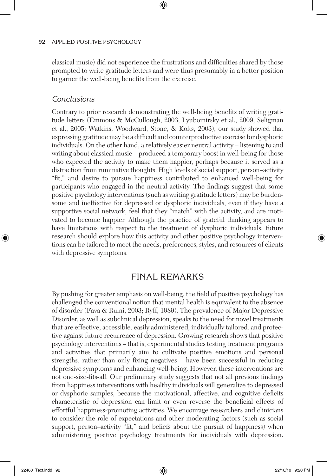classical music) did not experience the frustrations and difficulties shared by those prompted to write gratitude letters and were thus presumably in a better position to garner the well-being benefits from the exercise.

#### *Conclusions*

Contrary to prior research demonstrating the well-being benefits of writing gratitude letters (Emmons & McCullough, 2003; Lyubomirsky et al., 2009; Seligman et al., 2005; Watkins, Woodward, Stone, & Kolts, 2003), our study showed that expressing gratitude may be a difficult and counterproductive exercise for dysphoric individuals. On the other hand, a relatively easier neutral activity – listening to and writing about classical music – produced a temporary boost in well-being for those who expected the activity to make them happier, perhaps because it served as a distraction from ruminative thoughts. High levels of social support, person–activity "fit," and desire to pursue happiness contributed to enhanced well-being for participants who engaged in the neutral activity. The findings suggest that some positive psychology interventions (such as writing gratitude letters) may be burdensome and ineffective for depressed or dysphoric individuals, even if they have a supportive social network, feel that they "match" with the activity, and are motivated to become happier. Although the practice of grateful thinking appears to have limitations with respect to the treatment of dysphoric individuals, future research should explore how this activity and other positive psychology interventions can be tailored to meet the needs, preferences, styles, and resources of clients with depressive symptoms.

# FINAL REMARKS

By pushing for greater emphasis on well-being, the field of positive psychology has challenged the conventional notion that mental health is equivalent to the absence of disorder (Fava & Ruini, 2003; Ryff, 1989). The prevalence of Major Depressive Disorder, as well as subclinical depression, speaks to the need for novel treatments that are effective, accessible, easily administered, individually tailored, and protective against future recurrence of depression. Growing research shows that positive psychology interventions – that is, experimental studies testing treatment programs and activities that primarily aim to cultivate positive emotions and personal strengths, rather than only fixing negatives – have been successful in reducing depressive symptoms and enhancing well-being. However, these interventions are not one-size-fits-all. Our preliminary study suggests that not all previous findings from happiness interventions with healthy individuals will generalize to depressed or dysphoric samples, because the motivational, affective, and cognitive deficits characteristic of depression can limit or even reverse the beneficial effects of effortful happiness-promoting activities. We encourage researchers and clinicians to consider the role of expectations and other moderating factors (such as social support, person–activity "fit," and beliefs about the pursuit of happiness) when administering positive psychology treatments for individuals with depression.

⊕

⇔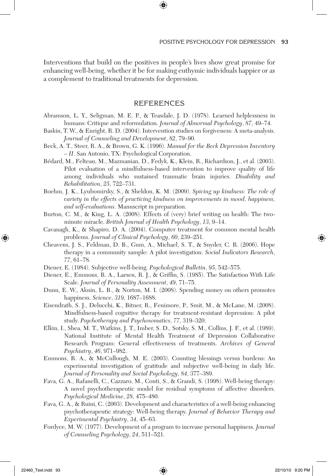Interventions that build on the positives in people's lives show great promise for enhancing well-being, whether it be for making euthymic individuals happier or as a complement to traditional treatments for depression.

## REFERENCES

- Abramson, L. Y., Seligman, M. E. P., & Teasdale, J. D. (1978). Learned helplessness in humans: Critique and reformulation. *Journal of Abnormal Psychology*, *87*, 49–74.
- Baskin, T. W., & Enright, R. D. (2004). Intervention studies on forgiveness: A meta-analysis. *Journal of Counseling and Development*, *82*, 79–90.
- Beck, A. T., Steer, R. A., & Brown, G. K. (1996). *Manual for the Beck Depression Inventory – II*. San Antonio, TX: Psychological Corporation.
- Bédard, M., Felteau, M., Mazmanian, D., Fedyk, K., Klein, R., Richardson, J., et al. (2003). Pilot evaluation of a mindfulness-based intervention to improve quality of life among individuals who sustained traumatic brain injuries. *Disability and Rehabilitation*, *25*, 722–731.
- Boehm, J. K., Lyubomirsky, S., & Sheldon, K. M. (2009). *Spicing up kindness: The role of variety in the effects of practicing kindness on improvements in mood, happiness, and self-evaluations*. Manuscript in preparation.
- Burton, C. M., & King, L. A. (2008). Effects of (very) brief writing on health: The twominute miracle. *British Journal of Health Psychology*, *13*, 9–14.
- Cavanagh, K., & Shapiro, D. A. (2004). Computer treatment for common mental health problems. *Journal of Clinical Psychology*, *60*, 239–251.
- Cheavens, J. S., Feldman, D. B., Gum, A., Michael, S. T., & Snyder, C. R. (2006). Hope therapy in a community sample: A pilot investigation. *Social Indicators Research*, *77*, 61–78.
- Diener, E. (1984). Subjective well-being. *Psychological Bulletin*, *95*, 542–575.
- Diener, E., Emmons, R. A., Larsen, R. J., & Griffin, S. (1985). The Satisfaction With Life Scale. *Journal of Personality Assessment*, *49*, 71–75.
- Dunn, E. W., Aknin, L. B., & Norton, M. I. (2008). Spending money on others promotes happiness. *Science*, *319*, 1687–1688.
- Eisendrath, S. J., Delucchi, K., Bitner, R., Fenimore, P., Smit, M., & McLane, M. (2008). Mindfulness-based cognitive therapy for treatment-resistant depression: A pilot study. *Psychotherapy and Psychosomatics*, *77*, 319–320.
- Elkin, I., Shea, M. T., Watkins, J. T., Imber, S. D., Sotsky, S. M., Collins, J. F., et al. (1989). National Institute of Mental Health Treatment of Depression Collaborative Research Program: General effectiveness of treatments. *Archives of General Psychiatry*, *46*, 971–982.
- Emmons, R. A., & McCullough, M. E. (2003). Counting blessings versus burdens: An experimental investigation of gratitude and subjective well-being in daily life. *Journal of Personality and Social Psychology*, *84*, 377–389.
- Fava, G. A., Rafanelli, C., Cazzaro, M., Conti, S., & Grandi, S. (1998). Well-being therapy: A novel psychotherapeutic model for residual symptoms of affective disorders. *Psychological Medicine*, *28*, 475–480.
- Fava, G. A., & Ruini, C. (2003). Development and characteristics of a well-being enhancing psychotherapeutic strategy: Well-being therapy. *Journal of Behavior Therapy and Experimental Psychiatry*, *34*, 45–63.
- Fordyce, M. W. (1977). Development of a program to increase personal happiness. *Journal of Counseling Psychology*, *24*, 511–521.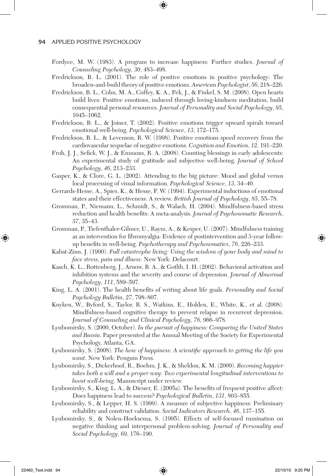- Fordyce, M. W. (1983). A program to increase happiness: Further studies. *Journal of Counseling Psychology*, *30*, 483–498.
- Fredrickson, B. L. (2001). The role of positive emotions in positive psychology: The broaden-and-build theory of positive emotions. *American Psychologist*, *56*, 218–226.
- Fredrickson, B. L., Cohn, M. A., Coffey, K. A., Pek, J., & Finkel, S. M. (2008). Open hearts build lives: Positive emotions, induced through loving-kindness meditation, build consequential personal resources. *Journal of Personality and Social Psychology*, *95*, 1045–1062.
- Fredrickson, B. L., & Joiner, T. (2002). Positive emotions trigger upward spirals toward emotional well-being. *Psychological Science*, *13*, 172–175.
- Fredrickson, B. L., & Levenson, R. W. (1998). Positive emotions speed recovery from the cardiovascular sequelae of negative emotions. *Cognition and Emotion*, *12*, 191–220.
- Froh, J. J., Sefick, W. J., & Emmons, R. A. (2008). Counting blessings in early adolescents: An experimental study of gratitude and subjective well-being. *Journal of School Psychology*, *46*, 213–233.
- Gasper, K., & Clore, G. L. (2002). Attending to the big picture: Mood and global versus local processing of visual information. *Psychological Science*, *13*, 34–40.
- Gerrards-Hesse, A., Spies, K., & Hesse, F. W. (1994). Experimental inductions of emotional states and their effectiveness: A review. *British Journal of Psychology*, *85*, 55–78.
- Grossman, P., Niemann, L., Schmidt, S., & Walach, H. (2004). Mindfulness-based stress reduction and health benefits: A meta-analysis. *Journal of Psychosomatic Research*, *57*, 35–43.
- Grossman, P., Tiefenthaler-Gilmer, U., Raysz, A., & Kesper, U. (2007). Mindfulness training as an intervention for fibromyalgia: Evidence of postintervention and 3-year followup benefits in well-being. *Psychotherapy and Psychosomatics*, *76*, 226–233.
- Kabat-Zinn, J. (1990). *Full catastrophe living: Using the wisdom of your body and mind to face stress, pain and illness*. New York: Delacourt.
- Kasch, K. L., Rottenberg, J., Arnow, B. A., & Gotlib, I. H. (2002). Behavioral activation and inhibition systems and the severity and course of depression. *Journal of Abnormal Psychology*, *111*, 589–597.
- King, L. A. (2001). The health benefits of writing about life goals. *Personality and Social Psychology Bulletin*, *27*, 798–807.
- Kuyken, W., Byford, S., Taylor, R. S., Watkins, E., Holden, E., White, K., et al. (2008). Mindfulness-based cognitive therapy to prevent relapse in recurrent depression. *Journal of Counseling and Clinical Psychology*, *76*, 966–978.
- Lyubomirsky, S. (2000, October). *In the pursuit of happiness: Comparing the United States and Russia*. Paper presented at the Annual Meeting of the Society for Experimental Psychology, Atlanta, GA.
- Lyubomirsky, S. (2008). *The how of happiness: A scientific approach to getting the life you want*. New York: Penguin Press.
- Lyubomirsky, S., Dickerhoof, R., Boehm, J. K., & Sheldon, K. M. (2009). *Becoming happier takes both a will and a proper way: Two experimental longitudinal interventions to boost well-being*. Manuscript under review.
- Lyubomirsky, S., King, L. A., & Diener, E. (2005a). The benefits of frequent positive affect: Does happiness lead to success? *Psychological Bulletin*, *131*, 803–855.
- Lyubomirsky, S., & Lepper, H. S. (1999). A measure of subjective happiness: Preliminary reliability and construct validation. *Social Indicators Research*, *46*, 137–155.
- Lyubomirsky, S., & Nolen-Hoeksema, S. (1995). Effects of self-focused rumination on negative thinking and interpersonal problem-solving. *Journal of Personality and Social Psychology*, *69*, 176–190.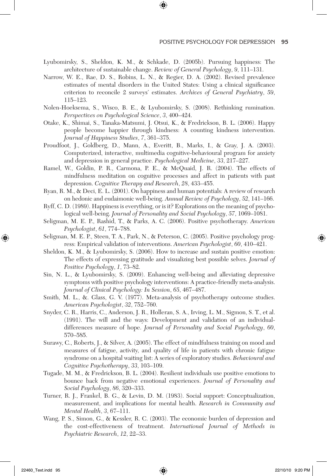- Lyubomirsky, S., Sheldon, K. M., & Schkade, D. (2005b). Pursuing happiness: The architecture of sustainable change. *Review of General Psychology*, *9*, 111–131.
- Narrow, W. E., Rae, D. S., Robins, L. N., & Regier, D. A. (2002). Revised prevalence estimates of mental disorders in the United States: Using a clinical significance criterion to reconcile 2 surveys' estimates. *Archives of General Psychiatry*, *59*, 115–123.
- Nolen-Hoeksema, S., Wisco, B. E., & Lyubomirsky, S. (2008). Rethinking rumination. *Perspectives on Psychological Science*, *3*, 400–424.
- Otake, K., Shimai, S., Tanaka-Matsumi, J. Otsui, K., & Fredrickson, B. L. (2006). Happy people become happier through kindness: A counting kindness intervention. *Journal of Happiness Studies*, *7*, 361–375.
- Proudfoot, J., Goldberg, D., Mann, A., Everitt, B., Marks, I., & Gray, J. A. (2003). Computerized, interactive, multimedia cognitive-behavioural program for anxiety and depression in general practice. *Psychological Medicine*, *33*, 217–227.
- Ramel, W., Goldin, P. R., Carmona, P. E., & McQuaid, J. R. (2004). The effects of mindfulness meditation on cognitive processes and affect in patients with past depression. *Cognitive Therapy and Research*, *28*, 433–455.
- Ryan, R. M., & Deci, E. L. (2001). On happiness and human potentials: A review of research on hedonic and eudaimonic well-being. *Annual Review of Psychology*, *52*, 141–166.
- Ryff, C. D. (1989). Happiness is everything, or is it? Explorations on the meaning of psychological well-being. *Journal of Personality and Social Psychology*, *57*, 1069–1081.
- Seligman, M. E. P., Rashid, T., & Parks, A. C. (2006). Positive psychotherapy. *American Psychologist*, *61*, 774–788.
- Seligman, M. E. P., Steen, T. A., Park, N., & Peterson, C. (2005). Positive psychology progress: Empirical validation of interventions. *American Psychologist*, *60*, 410–421.
- Sheldon, K. M., & Lyubomirsky, S. (2006). How to increase and sustain positive emotion: The effects of expressing gratitude and visualizing best possible selves. *Journal of Positive Psychology*, *1*, 73–82.
- Sin, N. L., & Lyubomirsky, S. (2009). Enhancing well-being and alleviating depressive symptoms with positive psychology interventions: A practice-friendly meta-analysis. *Journal of Clinical Psychology: In Session*, *65*, 467–487.
- Smith, M. L., &. Glass, G. V. (1977). Meta-analysis of psychotherapy outcome studies. *American Psychologist*, *32*, 752–760.
- Snyder, C. R., Harris, C., Anderson, J. R., Holleran, S. A., Irving, L. M., Sigmon, S. T., et al. (1991). The will and the ways: Development and validation of an individualdifferences measure of hope. *Journal of Personality and Social Psychology*, *60*, 570–585.
- Surawy, C., Roberts, J., & Silver, A. (2005). The effect of mindfulness training on mood and measures of fatigue, activity, and quality of life in patients with chronic fatigue syndrome on a hospital waiting list: A series of exploratory studies. *Behavioural and Cognitive Psychotherapy*, *33*, 103–109.
- Tugade, M. M., & Fredrickson, B. L. (2004). Resilient individuals use positive emotions to bounce back from negative emotional experiences. *Journal of Personality and Social Psychology*, *86*, 320–333.
- Turner, R. J., Frankel, B. G., & Levin, D. M. (1983). Social support: Conceptualization, measurement, and implications for mental health. *Research in Community and Mental Health*, *3*, 67–111.
- Wang, P. S., Simon, G., & Kessler, R. C. (2003). The economic burden of depression and the cost-effectiveness of treatment. *International Journal of Methods in Psychiatric Research*, *12*, 22–33.